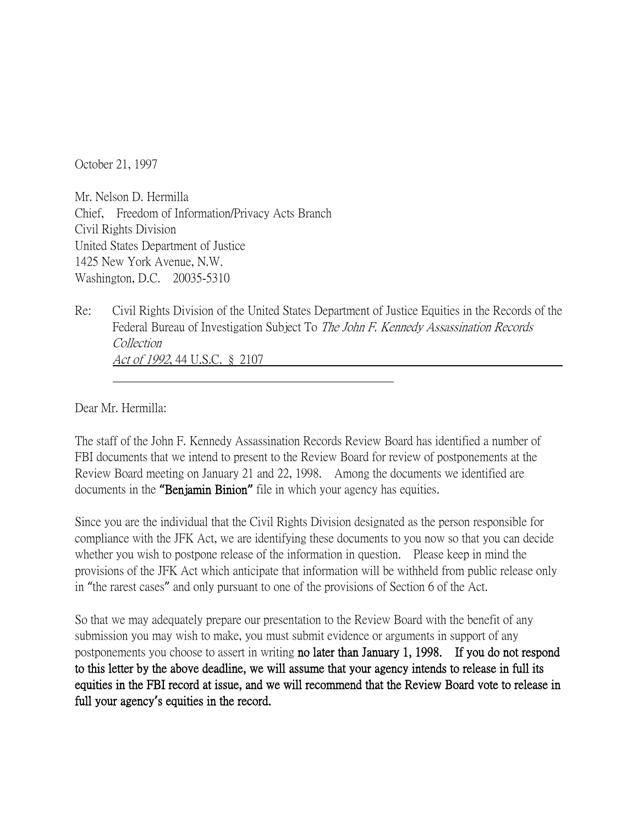October 21, 1997

Mr. Nelson D. Hermilla Chief, Freedom of Information/Privacy Acts Branch Civil Rights Division United States Department of Justice 1425 New York Avenue, N.W. Washington, D.C. 20035-5310

Re: Civil Rights Division of the United States Department of Justice Equities in the Records of the Federal Bureau of Investigation Subject To The John F. Kennedy Assassination Records Collection Act of 1992, 44 U.S.C. § 2107

Dear Mr. Hermilla:

The staff of the John F. Kennedy Assassination Records Review Board has identified a number of FBI documents that we intend to present to the Review Board for review of postponements at the Review Board meeting on January 21 and 22, 1998. Among the documents we identified are documents in the **"**Benjamin Binion**"** file in which your agency has equities.

Since you are the individual that the Civil Rights Division designated as the person responsible for compliance with the JFK Act, we are identifying these documents to you now so that you can decide whether you wish to postpone release of the information in question. Please keep in mind the provisions of the JFK Act which anticipate that information will be withheld from public release only in "the rarest cases" and only pursuant to one of the provisions of Section 6 of the Act.

So that we may adequately prepare our presentation to the Review Board with the benefit of any submission you may wish to make, you must submit evidence or arguments in support of any postponements you choose to assert in writing no later than January 1, 1998. If you do not respond to this letter by the above deadline, we will assume that your agency intends to release in full its equities in the FBI record at issue, and we will recommend that the Review Board vote to release in full your agency**'**s equities in the record.